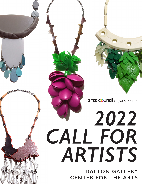arts council of york county

# *2022 CALL FOR ARTISTS*

**DALTON GALLERY CENTER FOR THE ARTS**